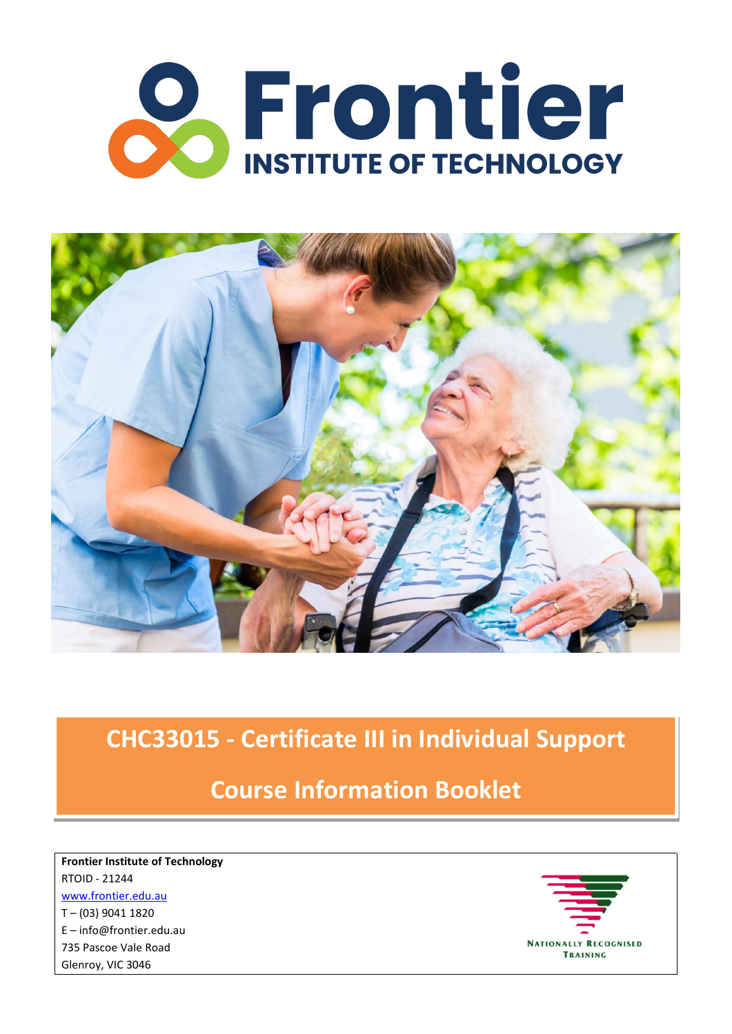



# **Course Information Booklet**

**Frontier Institute of Technology** RTOID - 21244 [www.frontier.edu.au](http://www.frontier.edu.au) T – (03) 9041 1820 E – [info@frontier.edu.au](mailto:info@frontier.edu.au) 735 Pascoe Vale Road Glenroy, VIC 3046

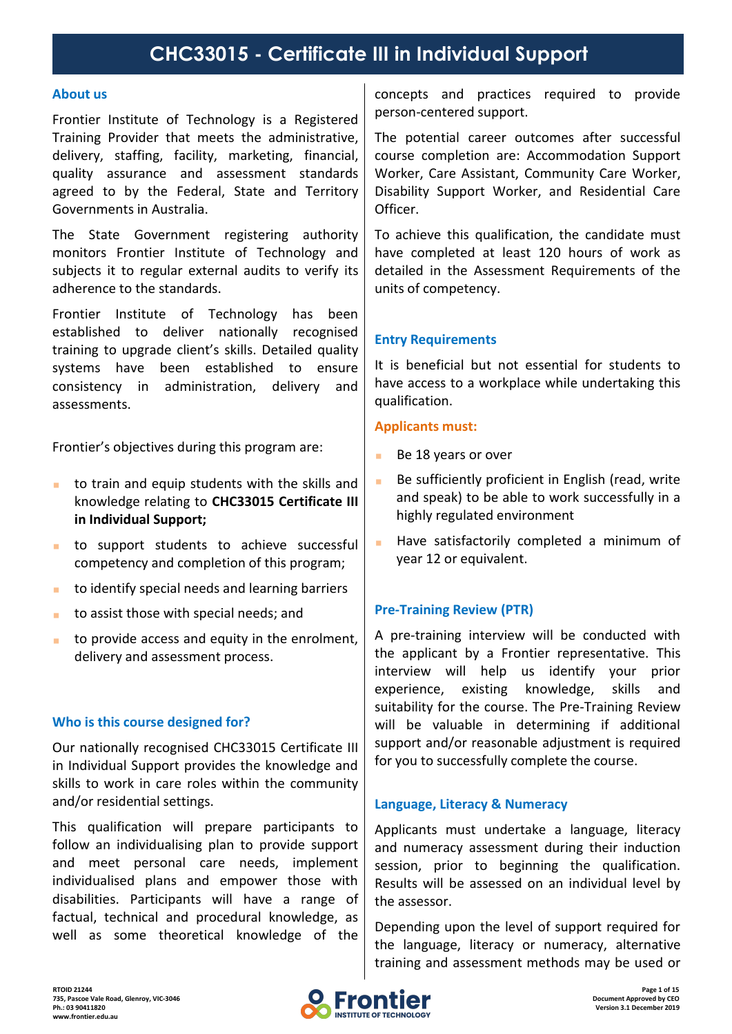#### **About us**

Frontier Institute of Technology is a Registered Training Provider that meets the administrative, delivery, staffing, facility, marketing, financial, quality assurance and assessment standards agreed to by the Federal, State and Territory Governments in Australia.

The State Government registering authority monitors Frontier Institute of Technology and subjects it to regular external audits to verify its adherence to the standards.

Frontier Institute of Technology has been established to deliver nationally recognised training to upgrade client's skills. Detailed quality systems have been established to ensure consistency in administration, delivery and assessments.

Frontier's objectives during this program are:

- **thata)** to train and equip students with the skills and knowledge relating to **CHC33015 Certificate III in Individual Support;**
- $\blacksquare$  to support students to achieve successful competency and completion of this program;
- to identify special needs and learning barriers
- $\blacksquare$  to assist those with special needs; and
- to provide access and equity in the enrolment, delivery and assessment process.

## **Who is thiscourse designed for?**

Our nationally recognised CHC33015 Certificate III in Individual Support provides the knowledge and skills to work in care roles within the community and/or residential settings.

This qualification will prepare participants to follow an individualising plan to provide support and meet personal care needs, implement individualised plans and empower those with disabilities. Participants will have a range of factual, technical and procedural knowledge, as well as some theoretical knowledge of the concepts and practices required to provide person-centered support.

The potential career outcomes after successful course completion are: Accommodation Support Worker, Care Assistant, Community Care Worker, Disability Support Worker, and Residential Care Officer.

To achieve this qualification, the candidate must have completed at least 120 hours of work as detailed in the Assessment Requirements of the units of competency.

## **Entry Requirements**

It is beneficial but not essential for students to have access to a workplace while undertaking this qualification.

### **Applicants must:**

- Be 18 years or over
- Be sufficiently proficient in English (read, write and speak) to be able to work successfully in a highly regulated environment
- Have satisfactorily completed a minimum of year 12 or equivalent.

#### **Pre-Training Review (PTR)**

A pre-training interview will be conducted with the applicant by a Frontier representative. This interview will help us identify your prior experience, existing knowledge, skills and suitability for the course. The Pre-Training Review will be valuable in determining if additional support and/or reasonable adjustment is required for you to successfully complete the course.

#### **Language, Literacy & Numeracy**

Applicants must undertake a language, literacy and numeracy assessment during their induction session, prior to beginning the qualification. Results will be assessed on an individual level by the assessor.

Depending upon the level of support required for the language, literacy or numeracy, alternative training and assessment methods may be used or

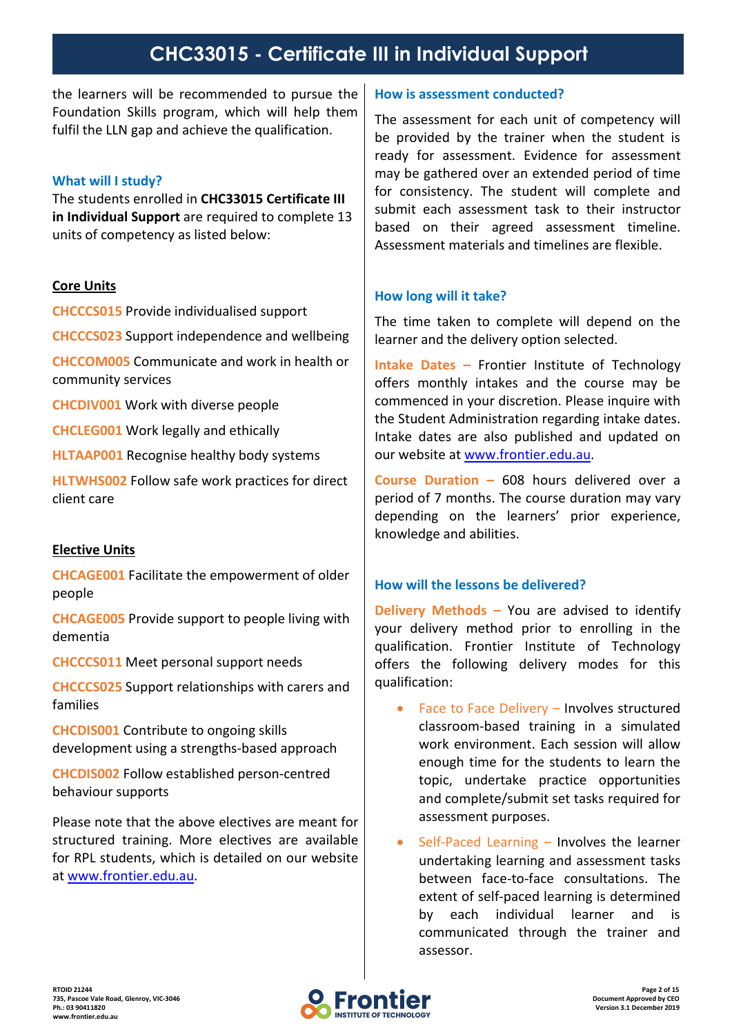the learners will be recommended to pursue the Foundation Skills program, which will help them fulfil the LLN gap and achieve the qualification.

## **What will I study?**

The students enrolled in **CHC33015 Certificate III in Individual Support** are required to complete 13 units of competency as listed below:

### **Core Units**

**CHCCCS015** Provide individualised support

**CHCCCS023** Support independence and wellbeing

**CHCCOM005** Communicate and work in health or community services

**CHCDIV001** Work with diverse people

**CHCLEG001** Work legally and ethically

**HLTAAP001** Recognise healthy body systems

**HLTWHS002** Follow safe work practices for direct client care

## **Elective Units**

**CHCAGE001** Facilitate the empowerment of older people

**CHCAGE005** Provide support to people living with dementia

**CHCCCS011** Meet personal support needs

**CHCCCS025** Support relationships with carers and families

**CHCDIS001** Contribute to ongoing skills development using a strengths-based approach

**CHCDIS002** Follow established person-centred behaviour supports

Please note that the above electives are meant for structured training. More electives are available for RPL students, which is detailed on our website at [www.frontier.edu.au.](https://www.frontier.edu.au)

#### **How is assessment conducted?**

The assessment for each unit of competency will be provided by the trainer when the student is ready for assessment. Evidence for assessment may be gathered over an extended period of time for consistency. The student will complete and submit each assessment task to their instructor based on their agreed assessment timeline. Assessment materials and timelines are flexible.

## **How long will it take?**

The time taken to complete will depend on the learner and the delivery option selected.

**Intake Dates –** Frontier Institute of Technology offers monthly intakes and the course may be commenced in your discretion. Please inquire with the Student Administration regarding intake dates. Intake dates are also published and updated on our website at [www.frontier.edu.au.](http://www.frontier.edu.au)

**Course Duration –** 608 hours delivered over a period of 7 months. The course duration may vary depending on the learners' prior experience, knowledge and abilities.

## **How will the lessons be delivered?**

**Delivery Methods –** You are advised to identify your delivery method prior to enrolling in the qualification. Frontier Institute of Technology offers the following delivery modes for this qualification:

- Face to Face Delivery Involves structured classroom-based training in a simulated work environment. Each session will allow enough time for the students to learn the topic, undertake practice opportunities and complete/submit set tasks required for assessment purposes.
- Self-Paced Learning Involves the learner undertaking learning and assessment tasks between face-to-face consultations. The extent of self-paced learning is determined by each individual learner and is communicated through the trainer and assessor.

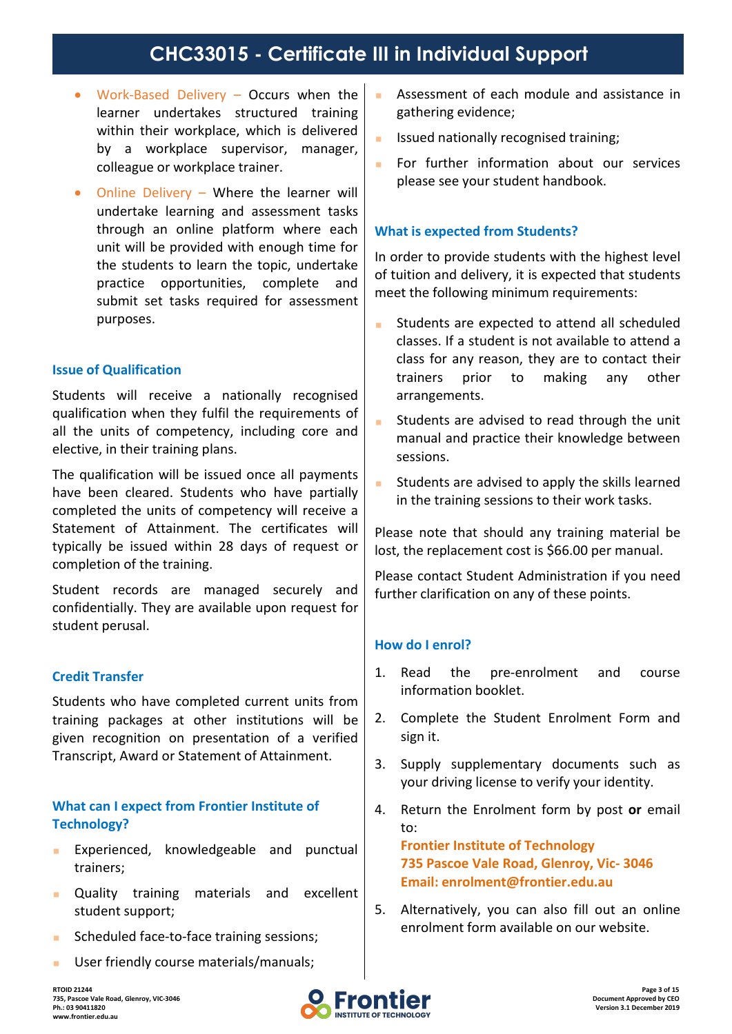- Work-Based Delivery Occurs when the learner undertakes structured training within their workplace, which is delivered  $\Big|$ by a workplace supervisor, manager, colleague or workplace trainer.
- Online Delivery Where the learner will undertake learning and assessment tasks through an online platform where each unit will be provided with enough time for the students to learn the topic, undertake practice opportunities, complete and submit set tasks required for assessment purposes.

### **Issue of Qualification**

Students will receive a nationally recognised qualification when they fulfil the requirements of  $\vert$ all the units of competency, including core and elective, in their training plans.

The qualification will be issued once all payments  $\Big|$ have been cleared. Students who have partially completed the units of competency will receive a Statement of Attainment. The certificates will typically be issued within 28 days of request or completion of the training.

Student records are managed securely and confidentially. They are available upon request for student perusal.

## **Credit Transfer**

Students who have completed current units from training packages at other institutions will be given recognition on presentation of a verified Transcript, Award or Statement of Attainment.  $\Big|$  3.

## **What can I expect from Frontier Institute of Technology?**

- **Experienced, knowledgeable and punctual** trainers;
- **Quality training materials and excellent** student support;
- **Scheduled face-to-face training sessions:**
- **User friendly course materials/manuals;**
- Assessment of each module and assistance in gathering evidence;
- Issued nationally recognised training;
- **For further information about our services** please see your student handbook.

### **What is expected from Students?**

In order to provide students with the highest level of tuition and delivery, it is expected that students meet the following minimum requirements:

- **EXTERNAL Students are expected to attend all scheduled** classes. If a student is not available to attend a class for any reason, they are to contact their trainers prior to making any other arrangements.
- Students are advised to read through the unit manual and practice their knowledge between sessions.
- Students are advised to apply the skills learned in the training sessions to their work tasks.

Please note that should any training material be lost, the replacement cost is \$66.00 per manual.

Please contact Student Administration if you need further clarification on any of these points.

#### **How do I enrol?**

- 1. Read the pre-enrolment and course information booklet.
- 2. Complete the Student Enrolment Form and sign it.
- Supply supplementary documents such as your driving license to verify your identity.
- 4. Return the Enrolment form by post **or** email to:

**Frontier Institute of Technology 735 Pascoe Vale Road,Glenroy, Vic- 3046 Email: [enrolment@frontier.edu.au](mailto:enrolment@frontier.edu.au)**

5. Alternatively, you can also fill out an online enrolment form available on our website.

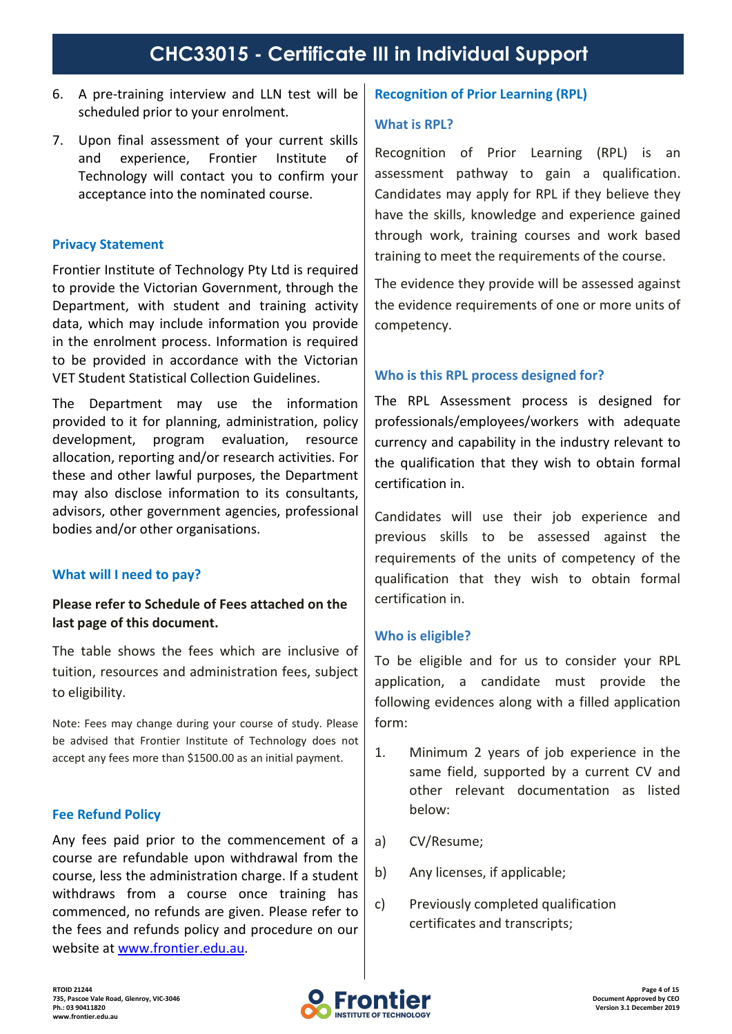- 6. A pre-training interview and LLN test will be scheduled prior to your enrolment.
- 7. Upon final assessment of your current skills and experience, Frontier Institute of Technology will contact you to confirm your acceptance into the nominated course.

### **Privacy Statement**

Frontier Institute of Technology Pty Ltd is required to provide the Victorian Government, through the Department, with student and training activity data, which may include information you provide in the enrolment process. Information is required to be provided in accordance with the Victorian VET Student Statistical Collection Guidelines.

The Department may use the information provided to it for planning, administration, policy development, program evaluation, resource allocation, reporting and/or research activities. For these and other lawful purposes, the Department may also disclose information to its consultants, advisors, other government agencies, professional bodies and/or other organisations.

## **What will I need to pay?**

## **Please refer to Schedule of Fees attached on the last page of this document.**

The table shows the fees which are inclusive of tuition, resources and administration fees, subject to eligibility.

Note: Fees may change during your course of study. Please be advised that Frontier Institute of Technology does not  $\begin{bmatrix} 1 \\ 1 \end{bmatrix}$ accept any fees more than \$1500.00 as an initial payment.

#### **Fee Refund Policy**

Any fees paid prior to the commencement of a  $|a|$ course are refundable upon withdrawal from the course, less the administration charge. If a student  $|$  b) withdraws from a course once training has  $\vert c \rangle$ commenced, no refunds are given. Please refer to the fees and refunds policy and procedure on our website at [www.frontier.edu.au.](https://www.frontier.edu.au)

### **Recognition of Prior Learning (RPL)**

#### **What is RPL?**

Recognition of Prior Learning (RPL) is an assessment pathway to gain a qualification. Candidates may apply for RPL if they believe they have the skills, knowledge and experience gained through work, training courses and work based training to meet the requirements of the course.

The evidence they provide will be assessed against the evidence requirements of one or more units of competency.

## **Who is thisRPL process designed for?**

The RPL Assessment process is designed for professionals/employees/workers with adequate currency and capability in the industry relevant to the qualification that they wish to obtain formal certification in.

Candidates will use their job experience and previous skills to be assessed against the requirements of the units of competency of the qualification that they wish to obtain formal certification in.

#### **Who is eligible?**

To be eligible and for us to consider your RPL application, a candidate must provide the following evidences along with a filled application form:

- Minimum 2 years of job experience in the same field, supported by a current CV and other relevant documentation as listed below:
- CV/Resume;
- b) Any licenses, if applicable;
- Previously completed qualification certificates and transcripts;

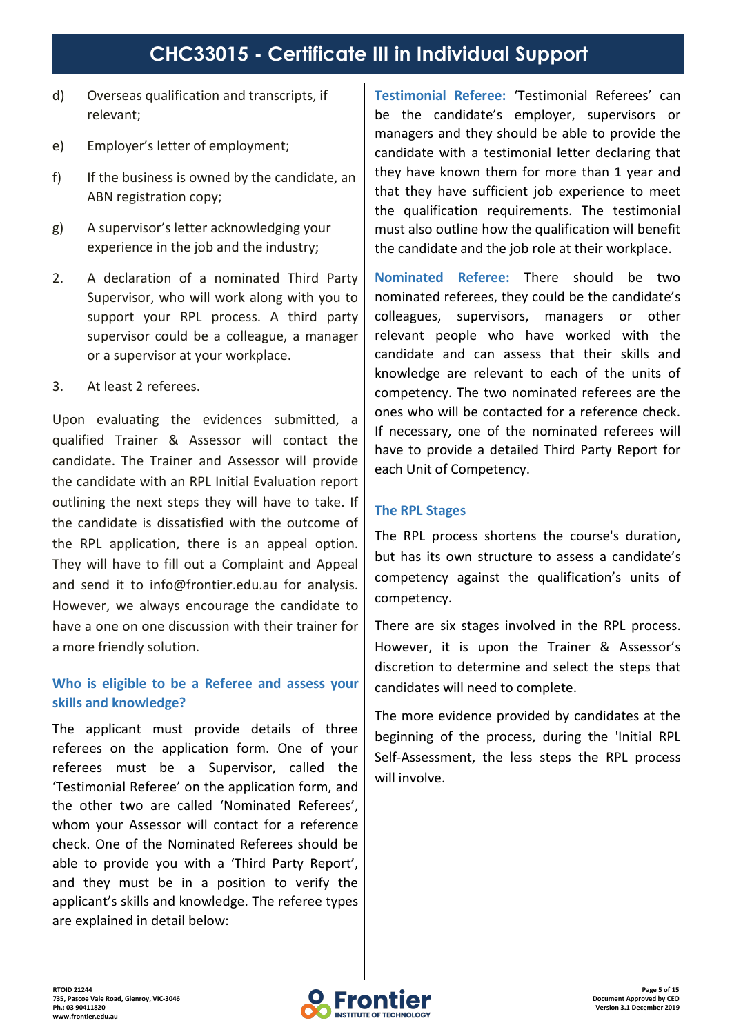- d) Overseas qualification and transcripts, if relevant;
- e) Employer's letter of employment;
- f) If the business is owned by the candidate, an ABN registration copy;
- g) A supervisor's letter acknowledging your experience in the job and the industry;
- 2. A declaration of a nominated Third Party Supervisor, who will work along with you to support your RPL process. A third party  $\vert$  colleagues, supervisor could be a colleague, a manager or a supervisor at your workplace.
- 3. At least 2 referees.

Upon evaluating the evidences submitted, a qualified Trainer & Assessor will contact the candidate. The Trainer and Assessor will provide the candidate with an RPL Initial Evaluation report outlining the next steps they will have to take. If the candidate is dissatisfied with the outcome of the RPL application, there is an appeal option. They will have to fill out a Complaint and Appeal and send it to [info@frontier.edu.au](mailto:info@frontier.edu.au) for analysis. However, we always encourage the candidate to have a one on one discussion with their trainer for a more friendly solution.

## **Who is eligible to be a Referee and assess your skills and knowledge?**

The applicant must provide details of three referees on the application form. One of your referees must be a Supervisor, called the 'Testimonial Referee' on the application form, and the other two are called 'Nominated Referees', whom your Assessor will contact for a reference check. One of the Nominated Referees should be able to provide you with a 'Third Party Report', and they must be in a position to verify the applicant's skills and knowledge. The referee types are explained in detail below:

**Testimonial Referee:** 'Testimonial Referees' can be the candidate's employer, supervisors or managers and they should be able to provide the candidate with a testimonial letter declaring that they have known them for more than 1 year and that they have sufficient job experience to meet the qualification requirements. The testimonial must also outline how the qualification will benefit the candidate and the job role at their workplace.

**Nominated Referee:** There should be two nominated referees, they could be the candidate's supervisors, managers or other relevant people who have worked with the candidate and can assess that their skills and knowledge are relevant to each of the units of competency. The two nominated referees are the ones who will be contacted for a reference check. If necessary, one of the nominated referees will have to provide a detailed Third Party Report for each Unit of Competency.

## **The RPL Stages**

The RPL process shortens the course's duration, but has its own structure to assess a candidate's competency against the qualification's units of competency.

There are six stages involved in the RPL process. However, it is upon the Trainer & Assessor's discretion to determine and select the steps that candidates will need to complete.

The more evidence provided by candidates at the beginning of the process, during the 'Initial RPL Self-Assessment, the less steps the RPL process will involve.

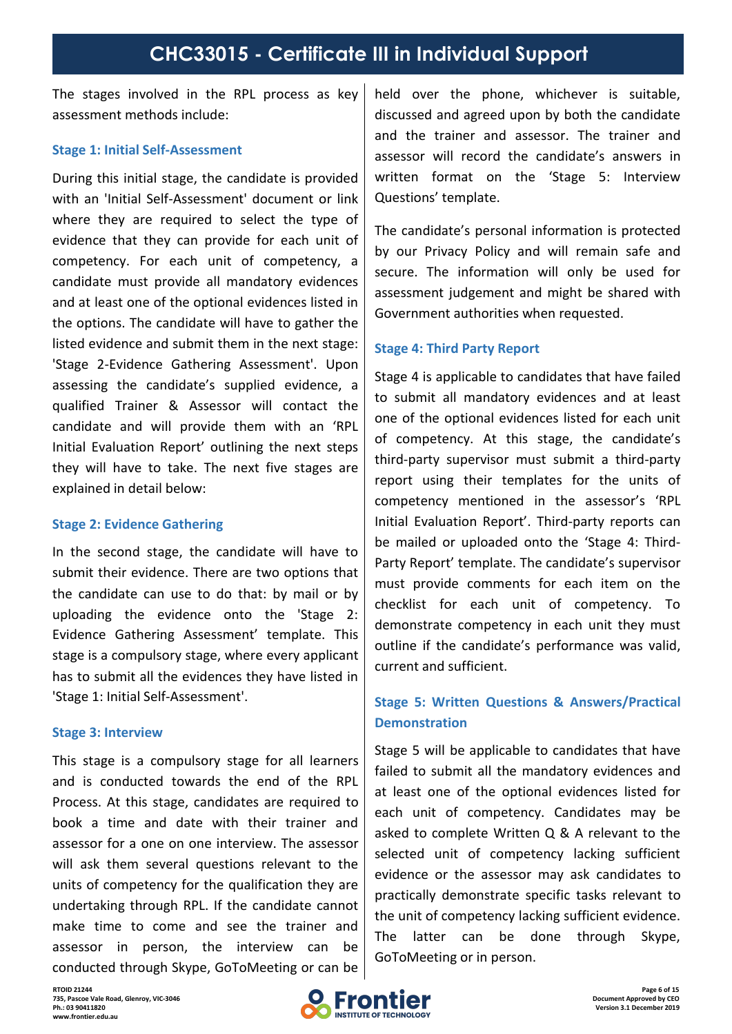The stages involved in the RPL process as key assessment methods include:

#### **Stage 1: Initial Self-Assessment**

During this initial stage, the candidate is provided with an 'Initial Self-Assessment' document or link where they are required to select the type of evidence that they can provide for each unit of competency. For each unit of competency, a candidate must provide all mandatory evidences and at least one of the optional evidences listed in the options. The candidate will have to gather the listed evidence and submit them in the next stage: 'Stage 2-Evidence Gathering Assessment'. Upon assessing the candidate's supplied evidence, a qualified Trainer & Assessor will contact the candidate and will provide them with an 'RPL Initial Evaluation Report' outlining the next steps they will have to take. The next five stages are explained in detail below:

#### **Stage 2: Evidence Gathering**

In the second stage, the candidate will have to submit their evidence. There are two options that the candidate can use to do that: by mail or by uploading the evidence onto the 'Stage 2: Evidence Gathering Assessment' template. This stage is a compulsory stage, where every applicant has to submit all the evidences they have listed in 'Stage 1: Initial Self-Assessment'.

#### **Stage 3: Interview**

This stage is a compulsory stage for all learners and is conducted towards the end of the RPL Process. At this stage, candidates are required to book a time and date with their trainer and assessor for a one on one interview. The assessor will ask them several questions relevant to the units of competency for the qualification they are undertaking through RPL. If the candidate cannot make time to come and see the trainer and  $\begin{array}{c} \text{and} \\ \text{The} \end{array}$ assessor in person, the interview can be conducted through Skype, GoToMeeting or can be

held over the phone, whichever is suitable, discussed and agreed upon by both the candidate and the trainer and assessor. The trainer and assessor will record the candidate's answers in written format on the 'Stage 5: Interview Questions' template.

The candidate's personal information is protected by our Privacy Policy and will remain safe and secure. The information will only be used for assessment judgement and might be shared with Government authorities when requested.

#### **Stage 4: Third Party Report**

Stage 4 is applicable to candidates that have failed to submit all mandatory evidences and at least one of the optional evidences listed for each unit of competency. At this stage, the candidate's third-party supervisor must submit a third-party report using their templates for the units of competency mentioned in the assessor's 'RPL Initial Evaluation Report'. Third-party reports can be mailed or uploaded onto the 'Stage 4: Third- Party Report' template. The candidate's supervisor must provide comments for each item on the checklist for each unit of competency. To demonstrate competency in each unit they must outline if the candidate's performance was valid, current and sufficient.

## **Stage 5: Written Questions & Answers/Practical Demonstration**

Stage 5 will be applicable to candidates that have failed to submit all the mandatory evidences and at least one of the optional evidences listed for each unit of competency. Candidates may be asked to complete Written Q & A relevant to the selected unit of competency lacking sufficient evidence or the assessor may ask candidates to practically demonstrate specific tasks relevant to the unit of competency lacking sufficient evidence. latter can be done through Skype. GoToMeeting or in person.

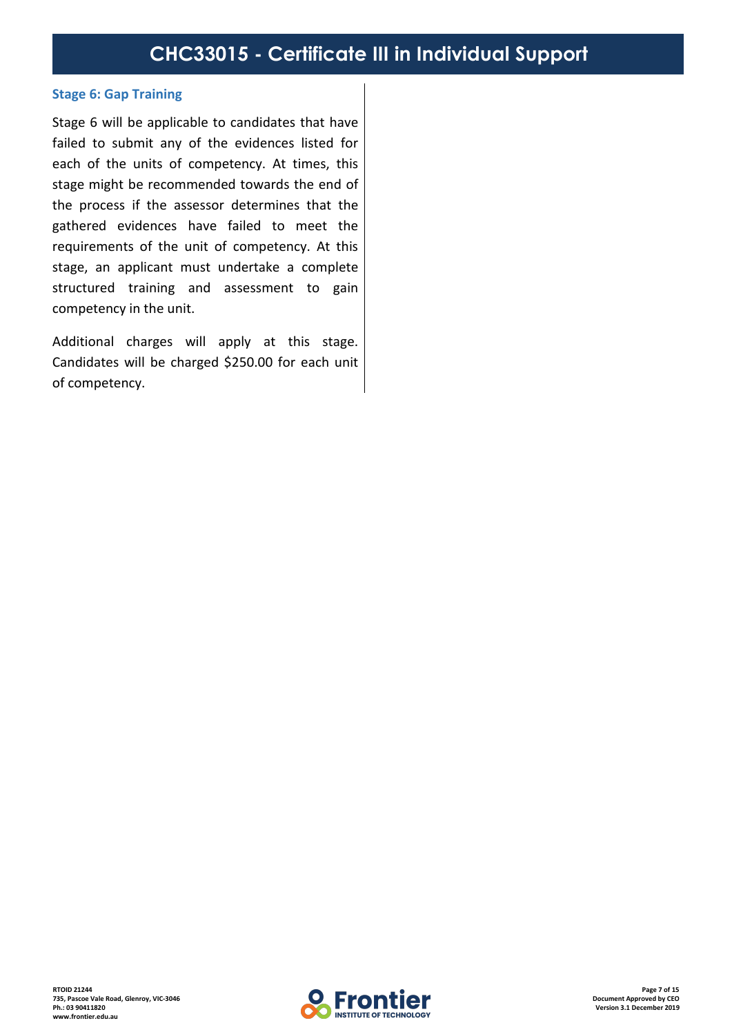#### **Stage 6: Gap Training**

Stage 6 will be applicable to candidates that have failed to submit any of the evidences listed for each of the units of competency. At times, this stage might be recommended towards the end of the process if the assessor determines that the gathered evidences have failed to meet the requirements of the unit of competency. At this stage, an applicant must undertake a complete structured training and assessment to gain competency in the unit.

Additional charges will apply at this stage. Candidates will be charged \$250.00 for each unit of competency.

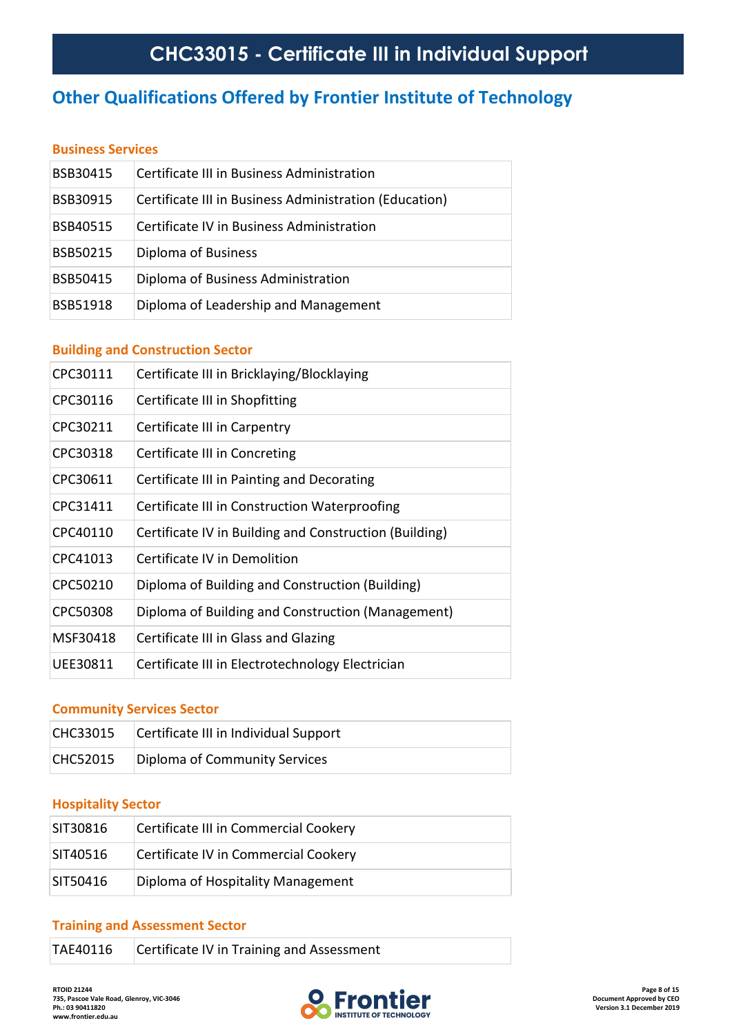## **Other Qualifications Offered by Frontier Institute of Technology**

### **Business Services**

| BSB30415 | Certificate III in Business Administration             |
|----------|--------------------------------------------------------|
| BSB30915 | Certificate III in Business Administration (Education) |
| BSB40515 | Certificate IV in Business Administration              |
| BSB50215 | Diploma of Business                                    |
| BSB50415 | Diploma of Business Administration                     |
| BSB51918 | Diploma of Leadership and Management                   |

## **Building and Construction Sector**

| CPC30111 | Certificate III in Bricklaying/Blocklaying             |
|----------|--------------------------------------------------------|
| CPC30116 | Certificate III in Shopfitting                         |
| CPC30211 | Certificate III in Carpentry                           |
| CPC30318 | Certificate III in Concreting                          |
| CPC30611 | Certificate III in Painting and Decorating             |
| CPC31411 | Certificate III in Construction Waterproofing          |
| CPC40110 | Certificate IV in Building and Construction (Building) |
| CPC41013 | Certificate IV in Demolition                           |
| CPC50210 | Diploma of Building and Construction (Building)        |
| CPC50308 | Diploma of Building and Construction (Management)      |
| MSF30418 | Certificate III in Glass and Glazing                   |
| UEE30811 | Certificate III in Electrotechnology Electrician       |

#### **Community Services Sector**

| CHC33015        | Certificate III in Individual Support |
|-----------------|---------------------------------------|
| <b>CHC52015</b> | Diploma of Community Services         |

#### **Hospitality Sector**

| SIT30816 | Certificate III in Commercial Cookery |
|----------|---------------------------------------|
| SIT40516 | Certificate IV in Commercial Cookery  |
| SIT50416 | Diploma of Hospitality Management     |

#### **Training and Assessment Sector**

| Certificate IV in Training and Assessment<br>TAE40116 |  |
|-------------------------------------------------------|--|
|-------------------------------------------------------|--|

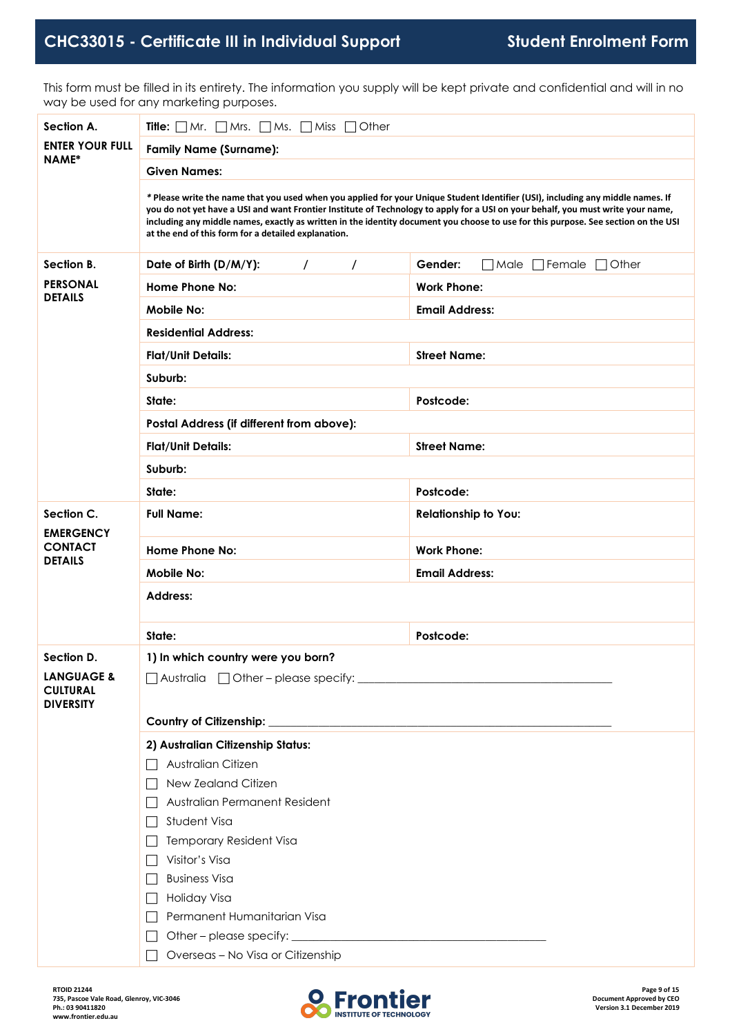This form must be filled in its entirety. The information you supply will be kept private and confidential and will in no way be used for any marketing purposes.

| Section A.                                                   | <b>Title:</b> $\Box$ Mr. $\Box$ Mrs. $\Box$ Ms. $\Box$ Miss $\Box$ Other                                                                                                                                                                                                                                                                                                                                                                                         |                                                   |  |  |  |
|--------------------------------------------------------------|------------------------------------------------------------------------------------------------------------------------------------------------------------------------------------------------------------------------------------------------------------------------------------------------------------------------------------------------------------------------------------------------------------------------------------------------------------------|---------------------------------------------------|--|--|--|
| <b>ENTER YOUR FULL</b><br>NAME*                              | <b>Family Name (Surname):</b>                                                                                                                                                                                                                                                                                                                                                                                                                                    |                                                   |  |  |  |
|                                                              | <b>Given Names:</b>                                                                                                                                                                                                                                                                                                                                                                                                                                              |                                                   |  |  |  |
|                                                              | * Please write the name that you used when you applied for your Unique Student Identifier (USI), including any middle names. If<br>you do not yet have a USI and want Frontier Institute of Technology to apply for a USI on your behalf, you must write your name,<br>including any middle names, exactly as written in the identity document you choose to use for this purpose. See section on the USI<br>at the end of this form for a detailed explanation. |                                                   |  |  |  |
| Section B.                                                   | $\prime$<br>Date of Birth (D/M/Y):<br>$\prime$                                                                                                                                                                                                                                                                                                                                                                                                                   | Gender:<br>$\Box$ Male $\Box$ Female $\Box$ Other |  |  |  |
| <b>PERSONAL</b>                                              | Home Phone No:                                                                                                                                                                                                                                                                                                                                                                                                                                                   | <b>Work Phone:</b>                                |  |  |  |
| <b>DETAILS</b>                                               | <b>Mobile No:</b>                                                                                                                                                                                                                                                                                                                                                                                                                                                | <b>Email Address:</b>                             |  |  |  |
|                                                              | <b>Residential Address:</b>                                                                                                                                                                                                                                                                                                                                                                                                                                      |                                                   |  |  |  |
|                                                              | <b>Flat/Unit Details:</b>                                                                                                                                                                                                                                                                                                                                                                                                                                        | <b>Street Name:</b>                               |  |  |  |
|                                                              | Suburb:                                                                                                                                                                                                                                                                                                                                                                                                                                                          |                                                   |  |  |  |
|                                                              | State:                                                                                                                                                                                                                                                                                                                                                                                                                                                           | Postcode:                                         |  |  |  |
|                                                              | Postal Address (if different from above):                                                                                                                                                                                                                                                                                                                                                                                                                        |                                                   |  |  |  |
|                                                              | <b>Flat/Unit Details:</b>                                                                                                                                                                                                                                                                                                                                                                                                                                        | <b>Street Name:</b>                               |  |  |  |
|                                                              | Suburb:                                                                                                                                                                                                                                                                                                                                                                                                                                                          |                                                   |  |  |  |
|                                                              | State:                                                                                                                                                                                                                                                                                                                                                                                                                                                           | Postcode:                                         |  |  |  |
| Section C.<br><b>EMERGENCY</b>                               | <b>Full Name:</b>                                                                                                                                                                                                                                                                                                                                                                                                                                                | <b>Relationship to You:</b>                       |  |  |  |
| <b>CONTACT</b>                                               | <b>Home Phone No:</b>                                                                                                                                                                                                                                                                                                                                                                                                                                            | <b>Work Phone:</b>                                |  |  |  |
| <b>DETAILS</b>                                               | Mobile No:                                                                                                                                                                                                                                                                                                                                                                                                                                                       | <b>Email Address:</b>                             |  |  |  |
|                                                              | <b>Address:</b>                                                                                                                                                                                                                                                                                                                                                                                                                                                  |                                                   |  |  |  |
|                                                              |                                                                                                                                                                                                                                                                                                                                                                                                                                                                  |                                                   |  |  |  |
|                                                              | State:                                                                                                                                                                                                                                                                                                                                                                                                                                                           | Postcode:                                         |  |  |  |
| Section D.                                                   | 1) In which country were you born?                                                                                                                                                                                                                                                                                                                                                                                                                               |                                                   |  |  |  |
| <b>LANGUAGE &amp;</b><br><b>CULTURAL</b><br><b>DIVERSITY</b> |                                                                                                                                                                                                                                                                                                                                                                                                                                                                  |                                                   |  |  |  |
|                                                              | 2) Australian Citizenship Status:                                                                                                                                                                                                                                                                                                                                                                                                                                |                                                   |  |  |  |
|                                                              | Australian Citizen<br>$\mathsf{L}$                                                                                                                                                                                                                                                                                                                                                                                                                               |                                                   |  |  |  |
|                                                              | New Zealand Citizen<br>$\Box$                                                                                                                                                                                                                                                                                                                                                                                                                                    |                                                   |  |  |  |
|                                                              | Australian Permanent Resident                                                                                                                                                                                                                                                                                                                                                                                                                                    |                                                   |  |  |  |
|                                                              | Student Visa                                                                                                                                                                                                                                                                                                                                                                                                                                                     |                                                   |  |  |  |
|                                                              | <b>Temporary Resident Visa</b><br>Visitor's Visa<br>$\Box$                                                                                                                                                                                                                                                                                                                                                                                                       |                                                   |  |  |  |
|                                                              | <b>Business Visa</b>                                                                                                                                                                                                                                                                                                                                                                                                                                             |                                                   |  |  |  |
|                                                              | Holiday Visa                                                                                                                                                                                                                                                                                                                                                                                                                                                     |                                                   |  |  |  |
|                                                              | Permanent Humanitarian Visa                                                                                                                                                                                                                                                                                                                                                                                                                                      |                                                   |  |  |  |
|                                                              |                                                                                                                                                                                                                                                                                                                                                                                                                                                                  |                                                   |  |  |  |
|                                                              | Overseas - No Visa or Citizenship                                                                                                                                                                                                                                                                                                                                                                                                                                |                                                   |  |  |  |

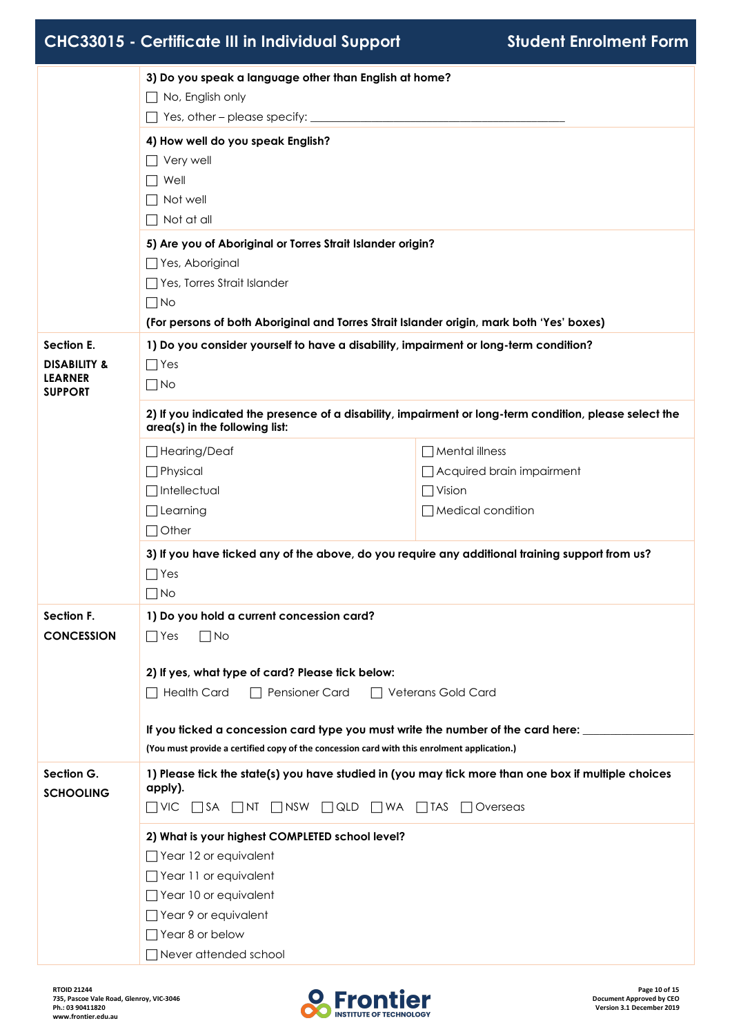|                                  | 3) Do you speak a language other than English at home?                                                                                                                          |                                                                                                     |  |  |  |
|----------------------------------|---------------------------------------------------------------------------------------------------------------------------------------------------------------------------------|-----------------------------------------------------------------------------------------------------|--|--|--|
|                                  | $\Box$ No, English only                                                                                                                                                         |                                                                                                     |  |  |  |
|                                  | $\Box$ Yes, other – please specify: $\Box$                                                                                                                                      |                                                                                                     |  |  |  |
|                                  | 4) How well do you speak English?                                                                                                                                               |                                                                                                     |  |  |  |
|                                  | $\Box$ Very well                                                                                                                                                                |                                                                                                     |  |  |  |
|                                  | $\Box$ Well                                                                                                                                                                     |                                                                                                     |  |  |  |
|                                  | $\Box$ Not well                                                                                                                                                                 |                                                                                                     |  |  |  |
|                                  | $\Box$ Not at all                                                                                                                                                               |                                                                                                     |  |  |  |
|                                  | 5) Are you of Aboriginal or Torres Strait Islander origin?                                                                                                                      |                                                                                                     |  |  |  |
|                                  | □ Yes, Aboriginal                                                                                                                                                               |                                                                                                     |  |  |  |
|                                  | Yes, Torres Strait Islander                                                                                                                                                     |                                                                                                     |  |  |  |
|                                  | $\Box$ No                                                                                                                                                                       |                                                                                                     |  |  |  |
|                                  | (For persons of both Aboriginal and Torres Strait Islander origin, mark both 'Yes' boxes)                                                                                       |                                                                                                     |  |  |  |
| Section E.                       | 1) Do you consider yourself to have a disability, impairment or long-term condition?                                                                                            |                                                                                                     |  |  |  |
| <b>DISABILITY &amp;</b>          | $\Box$ Yes                                                                                                                                                                      |                                                                                                     |  |  |  |
| <b>LEARNER</b><br><b>SUPPORT</b> | $\Box$ No                                                                                                                                                                       |                                                                                                     |  |  |  |
|                                  | 2) If you indicated the presence of a disability, impairment or long-term condition, please select the<br>area(s) in the following list:                                        |                                                                                                     |  |  |  |
|                                  | □ Hearing/Deaf                                                                                                                                                                  | $\Box$ Mental illness                                                                               |  |  |  |
|                                  | $\Box$ Physical                                                                                                                                                                 | Acquired brain impairment                                                                           |  |  |  |
|                                  | $\Box$ Intellectual                                                                                                                                                             | $\Box$ Vision                                                                                       |  |  |  |
|                                  | $\Box$ Learning                                                                                                                                                                 | $\Box$ Medical condition                                                                            |  |  |  |
|                                  | $\Box$ Other                                                                                                                                                                    |                                                                                                     |  |  |  |
|                                  | 3) If you have ficked any of the above, do you require any additional training support from us?                                                                                 |                                                                                                     |  |  |  |
|                                  | $\Box$ Yes                                                                                                                                                                      |                                                                                                     |  |  |  |
|                                  | $\Box$ No                                                                                                                                                                       |                                                                                                     |  |  |  |
| Section F.                       | 1) Do you hold a current concession card?                                                                                                                                       |                                                                                                     |  |  |  |
| <b>CONCESSION</b>                | $\Box$ Yes<br>$\Box$ No                                                                                                                                                         |                                                                                                     |  |  |  |
|                                  |                                                                                                                                                                                 |                                                                                                     |  |  |  |
|                                  | 2) If yes, what type of card? Please tick below:                                                                                                                                |                                                                                                     |  |  |  |
|                                  | $\Box$ Health Card<br>$\Box$ Pensioner Card<br>$\Box$ Veterans Gold Card                                                                                                        |                                                                                                     |  |  |  |
|                                  |                                                                                                                                                                                 |                                                                                                     |  |  |  |
|                                  | If you ticked a concession card type you must write the number of the card here:<br>(You must provide a certified copy of the concession card with this enrolment application.) |                                                                                                     |  |  |  |
|                                  |                                                                                                                                                                                 |                                                                                                     |  |  |  |
| Section G.<br><b>SCHOOLING</b>   | apply).                                                                                                                                                                         | 1) Please tick the state(s) you have studied in (you may tick more than one box if multiple choices |  |  |  |
|                                  | $\Box$ VIC $\Box$ SA $\Box$ NT $\Box$ NSW $\Box$ QLD $\Box$ WA $\Box$ TAS<br>$\Box$ Overseas                                                                                    |                                                                                                     |  |  |  |
|                                  | 2) What is your highest COMPLETED school level?                                                                                                                                 |                                                                                                     |  |  |  |
|                                  | $\Box$ Year 12 or equivalent                                                                                                                                                    |                                                                                                     |  |  |  |
|                                  | □ Year 11 or equivalent                                                                                                                                                         |                                                                                                     |  |  |  |
|                                  | □ Year 10 or equivalent                                                                                                                                                         |                                                                                                     |  |  |  |
|                                  | Year 9 or equivalent                                                                                                                                                            |                                                                                                     |  |  |  |
|                                  | $\Box$ Year 8 or below                                                                                                                                                          |                                                                                                     |  |  |  |
|                                  | $\Box$ Never attended school                                                                                                                                                    |                                                                                                     |  |  |  |

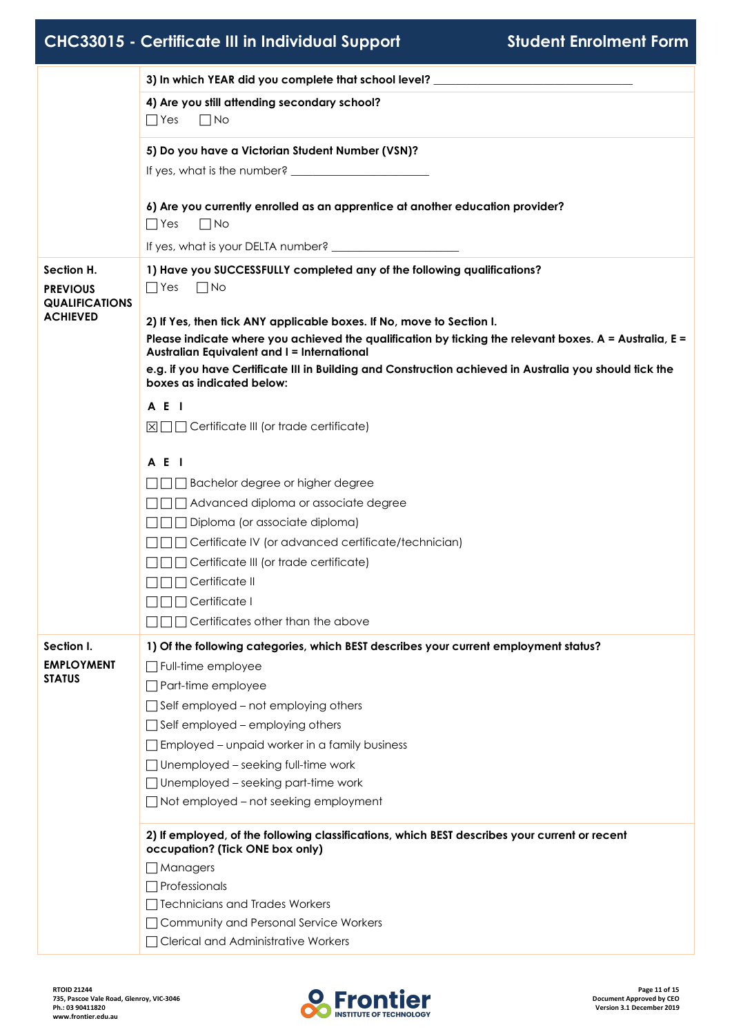|                                                        | 3) In which YEAR did you complete that school level? ___________________________                                                                                                           |
|--------------------------------------------------------|--------------------------------------------------------------------------------------------------------------------------------------------------------------------------------------------|
|                                                        | 4) Are you still attending secondary school?<br>$\Box$ No<br>$\Box$ Yes                                                                                                                    |
|                                                        | 5) Do you have a Victorian Student Number (VSN)?                                                                                                                                           |
|                                                        | 6) Are you currently enrolled as an apprentice at another education provider?<br>$\Box$ No<br>$\Box$ Yes                                                                                   |
|                                                        |                                                                                                                                                                                            |
| Section H.<br><b>PREVIOUS</b><br><b>QUALIFICATIONS</b> | 1) Have you SUCCESSFULLY completed any of the following qualifications?<br>$\Box$ Yes $\Box$ No                                                                                            |
| <b>ACHIEVED</b>                                        | 2) If Yes, then tick ANY applicable boxes. If No, move to Section I.<br>Please indicate where you achieved the qualification by ticking the relevant boxes. $A =$ Australia, $E =$         |
|                                                        | <b>Australian Equivalent and I = International</b><br>e.g. if you have Certificate III in Building and Construction achieved in Australia you should tick the<br>boxes as indicated below: |
|                                                        | A E I                                                                                                                                                                                      |
|                                                        | $\boxtimes \square \square$ Certificate III (or trade certificate)                                                                                                                         |
|                                                        | A E I                                                                                                                                                                                      |
|                                                        | □ Bachelor degree or higher degree                                                                                                                                                         |
|                                                        | □□□ Advanced diploma or associate degree                                                                                                                                                   |
|                                                        | □□□ Diploma (or associate diploma)                                                                                                                                                         |
|                                                        | □□ Certificate IV (or advanced certificate/technician)                                                                                                                                     |
|                                                        | □□□ Certificate III (or trade certificate)                                                                                                                                                 |
|                                                        | $\Box\Box$ Certificate II                                                                                                                                                                  |
|                                                        | $\Box \Box \Box$ Certificate I                                                                                                                                                             |
|                                                        | $\Box \Box$ Certificates other than the above                                                                                                                                              |
| Section I.                                             | 1) Of the following categories, which BEST describes your current employment status?                                                                                                       |
| <b>EMPLOYMENT</b>                                      | $\Box$ Full-time employee                                                                                                                                                                  |
| <b>STATUS</b>                                          | $\Box$ Part-time employee                                                                                                                                                                  |
|                                                        | $\Box$ Self employed – not employing others                                                                                                                                                |
|                                                        | $\Box$ Self employed – employing others                                                                                                                                                    |
|                                                        | $\Box$ Employed – unpaid worker in a family business                                                                                                                                       |
|                                                        | $\Box$ Unemployed – seeking full-time work                                                                                                                                                 |
|                                                        | $\Box$ Unemployed – seeking part-time work                                                                                                                                                 |
|                                                        | $\Box$ Not employed – not seeking employment                                                                                                                                               |
|                                                        | 2) If employed, of the following classifications, which BEST describes your current or recent<br>occupation? (Tick ONE box only)                                                           |
|                                                        | $\Box$ Managers                                                                                                                                                                            |
|                                                        | $\Box$ Professionals                                                                                                                                                                       |
|                                                        | □ Technicians and Trades Workers                                                                                                                                                           |
|                                                        | □ Community and Personal Service Workers                                                                                                                                                   |
|                                                        | □ Clerical and Administrative Workers                                                                                                                                                      |

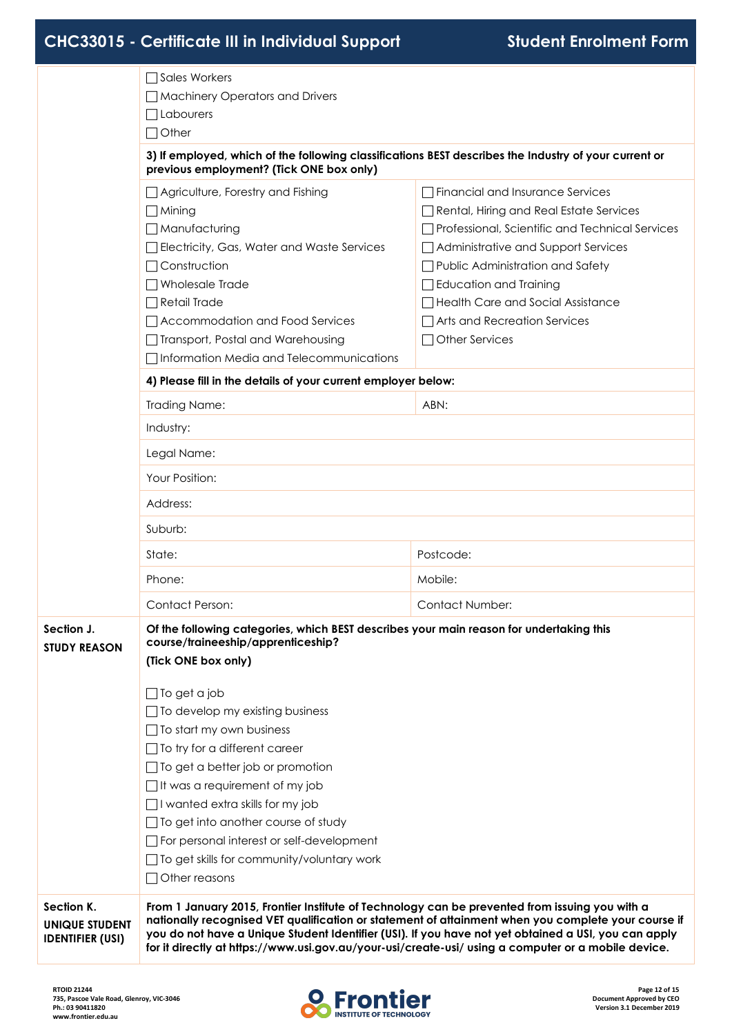|                                                         | □ Sales Workers                                                                                                                                                                                       |                                                                                                                                                                                                             |  |  |  |
|---------------------------------------------------------|-------------------------------------------------------------------------------------------------------------------------------------------------------------------------------------------------------|-------------------------------------------------------------------------------------------------------------------------------------------------------------------------------------------------------------|--|--|--|
|                                                         | Machinery Operators and Drivers                                                                                                                                                                       |                                                                                                                                                                                                             |  |  |  |
|                                                         | $\Box$ Labourers                                                                                                                                                                                      |                                                                                                                                                                                                             |  |  |  |
|                                                         | $\Box$ Other                                                                                                                                                                                          |                                                                                                                                                                                                             |  |  |  |
|                                                         | 3) If employed, which of the following classifications BEST describes the Industry of your current or<br>previous employment? (Tick ONE box only)                                                     |                                                                                                                                                                                                             |  |  |  |
|                                                         | □ Agriculture, Forestry and Fishing                                                                                                                                                                   | □ Financial and Insurance Services                                                                                                                                                                          |  |  |  |
|                                                         | $\Box$ Mining                                                                                                                                                                                         | Rental, Hiring and Real Estate Services                                                                                                                                                                     |  |  |  |
|                                                         | □Manufacturing                                                                                                                                                                                        | □ Professional, Scientific and Technical Services                                                                                                                                                           |  |  |  |
|                                                         | Electricity, Gas, Water and Waste Services                                                                                                                                                            | Administrative and Support Services                                                                                                                                                                         |  |  |  |
|                                                         | $\Box$ Construction                                                                                                                                                                                   | □ Public Administration and Safety                                                                                                                                                                          |  |  |  |
|                                                         | $\Box$ Wholesale Trade                                                                                                                                                                                | $\Box$ Education and Training                                                                                                                                                                               |  |  |  |
|                                                         | $\Box$ Retail Trade                                                                                                                                                                                   | Health Care and Social Assistance                                                                                                                                                                           |  |  |  |
|                                                         | □ Accommodation and Food Services                                                                                                                                                                     | $\Box$ Arts and Recreation Services                                                                                                                                                                         |  |  |  |
|                                                         | $\Box$ Other Services<br>□ Transport, Postal and Warehousing                                                                                                                                          |                                                                                                                                                                                                             |  |  |  |
|                                                         | □ Information Media and Telecommunications                                                                                                                                                            |                                                                                                                                                                                                             |  |  |  |
|                                                         | 4) Please fill in the details of your current employer below:                                                                                                                                         |                                                                                                                                                                                                             |  |  |  |
|                                                         | <b>Trading Name:</b>                                                                                                                                                                                  | ABN:                                                                                                                                                                                                        |  |  |  |
|                                                         | Industry:                                                                                                                                                                                             |                                                                                                                                                                                                             |  |  |  |
|                                                         | Legal Name:                                                                                                                                                                                           |                                                                                                                                                                                                             |  |  |  |
|                                                         | Your Position:                                                                                                                                                                                        |                                                                                                                                                                                                             |  |  |  |
|                                                         | Address:                                                                                                                                                                                              |                                                                                                                                                                                                             |  |  |  |
|                                                         | Suburb:                                                                                                                                                                                               |                                                                                                                                                                                                             |  |  |  |
|                                                         | State:                                                                                                                                                                                                | Postcode:                                                                                                                                                                                                   |  |  |  |
|                                                         | Phone:                                                                                                                                                                                                | Mobile:                                                                                                                                                                                                     |  |  |  |
|                                                         | <b>Contact Person:</b>                                                                                                                                                                                | <b>Contact Number:</b>                                                                                                                                                                                      |  |  |  |
| Section J.                                              | Of the following categories, which BEST describes your main reason for undertaking this<br>course/traineeship/apprenticeship?                                                                         |                                                                                                                                                                                                             |  |  |  |
| STUDY REASON                                            | (Tick ONE box only)                                                                                                                                                                                   |                                                                                                                                                                                                             |  |  |  |
|                                                         | $\Box$ To get a job                                                                                                                                                                                   |                                                                                                                                                                                                             |  |  |  |
|                                                         | $\Box$ To develop my existing business                                                                                                                                                                |                                                                                                                                                                                                             |  |  |  |
|                                                         | $\Box$ To start my own business                                                                                                                                                                       |                                                                                                                                                                                                             |  |  |  |
|                                                         | $\Box$ To try for a different career                                                                                                                                                                  |                                                                                                                                                                                                             |  |  |  |
|                                                         | $\Box$ To get a better job or promotion                                                                                                                                                               |                                                                                                                                                                                                             |  |  |  |
|                                                         | $\Box$ It was a requirement of my job                                                                                                                                                                 |                                                                                                                                                                                                             |  |  |  |
|                                                         | $\Box$ I wanted extra skills for my job                                                                                                                                                               |                                                                                                                                                                                                             |  |  |  |
|                                                         | $\Box$ To get into another course of study                                                                                                                                                            |                                                                                                                                                                                                             |  |  |  |
|                                                         | $\Box$ For personal interest or self-development                                                                                                                                                      |                                                                                                                                                                                                             |  |  |  |
|                                                         | □ To get skills for community/voluntary work                                                                                                                                                          |                                                                                                                                                                                                             |  |  |  |
|                                                         | $\Box$ Other reasons                                                                                                                                                                                  |                                                                                                                                                                                                             |  |  |  |
| Section K.<br>UNIQUE STUDENT<br><b>IDENTIFIER (USI)</b> | From 1 January 2015, Frontier Institute of Technology can be prevented from issuing you with a<br>for it directly at https://www.usi.gov.au/your-usi/create-usi/ using a computer or a mobile device. | nationally recognised VET qualification or statement of attainment when you complete your course if<br>you do not have a Unique Student Identifier (USI). If you have not yet obtained a USI, you can apply |  |  |  |

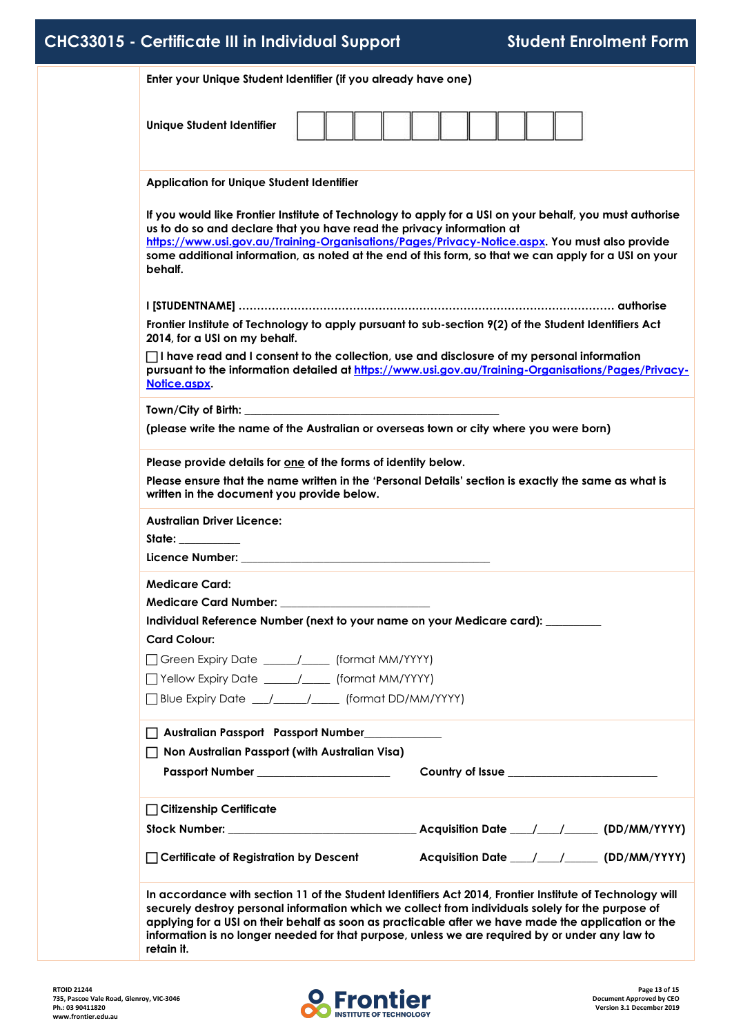|  | CHC33015 - Certificate III in Individual Support |  |  |
|--|--------------------------------------------------|--|--|
|--|--------------------------------------------------|--|--|

| <b>Unique Student Identifier</b>                                                                                                                                      |                                                                                                                                                                                                            |
|-----------------------------------------------------------------------------------------------------------------------------------------------------------------------|------------------------------------------------------------------------------------------------------------------------------------------------------------------------------------------------------------|
| <b>Application for Unique Student Identifier</b>                                                                                                                      |                                                                                                                                                                                                            |
| us to do so and declare that you have read the privacy information at                                                                                                 | If you would like Frontier Institute of Technology to apply for a USI on your behalf, you must authorise<br>https://www.usi.gov.au/Training-Organisations/Pages/Privacy-Notice.aspx. You must also provide |
| behalf.                                                                                                                                                               | some additional information, as noted at the end of this form, so that we can apply for a USI on your                                                                                                      |
| 2014, for a USI on my behalf.                                                                                                                                         | Frontier Institute of Technology to apply pursuant to sub-section 9(2) of the Student Identifiers Act                                                                                                      |
| Notice.aspx.                                                                                                                                                          | $\Box$ I have read and I consent to the collection, use and disclosure of my personal information<br>pursuant to the information detailed at https://www.usi.gov.au/Training-Organisations/Pages/Privacy-  |
|                                                                                                                                                                       |                                                                                                                                                                                                            |
| (please write the name of the Australian or overseas town or city where you were born)                                                                                |                                                                                                                                                                                                            |
| Please provide details for one of the forms of identity below.                                                                                                        |                                                                                                                                                                                                            |
| written in the document you provide below.                                                                                                                            | Please ensure that the name written in the 'Personal Details' section is exactly the same as what is                                                                                                       |
| <b>Australian Driver Licence:</b>                                                                                                                                     |                                                                                                                                                                                                            |
| State: ________                                                                                                                                                       |                                                                                                                                                                                                            |
|                                                                                                                                                                       |                                                                                                                                                                                                            |
| <b>Medicare Card:</b>                                                                                                                                                 |                                                                                                                                                                                                            |
| <b>Medicare Card Number:</b>                                                                                                                                          |                                                                                                                                                                                                            |
| Individual Reference Number (next to your name on your Medicare card): ________                                                                                       |                                                                                                                                                                                                            |
| <b>Card Colour:</b>                                                                                                                                                   |                                                                                                                                                                                                            |
| Green Expiry Date ___________________ (format MM/YYYY)                                                                                                                |                                                                                                                                                                                                            |
| □ Yellow Expiry Date _____/____ (format MM/YYYY)                                                                                                                      |                                                                                                                                                                                                            |
| □ Blue Expiry Date __/____/___ (format DD/MM/YYYY)                                                                                                                    |                                                                                                                                                                                                            |
|                                                                                                                                                                       |                                                                                                                                                                                                            |
|                                                                                                                                                                       |                                                                                                                                                                                                            |
|                                                                                                                                                                       |                                                                                                                                                                                                            |
|                                                                                                                                                                       |                                                                                                                                                                                                            |
| Passport Number _________________________                                                                                                                             |                                                                                                                                                                                                            |
|                                                                                                                                                                       |                                                                                                                                                                                                            |
|                                                                                                                                                                       |                                                                                                                                                                                                            |
| Australian Passport Passport Number<br>□ Non Australian Passport (with Australian Visa)<br>□ Citizenship Certificate<br>$\Box$ Certificate of Registration by Descent | Acquisition Date ___/___/______ (DD/MM/YYYY)                                                                                                                                                               |
|                                                                                                                                                                       |                                                                                                                                                                                                            |

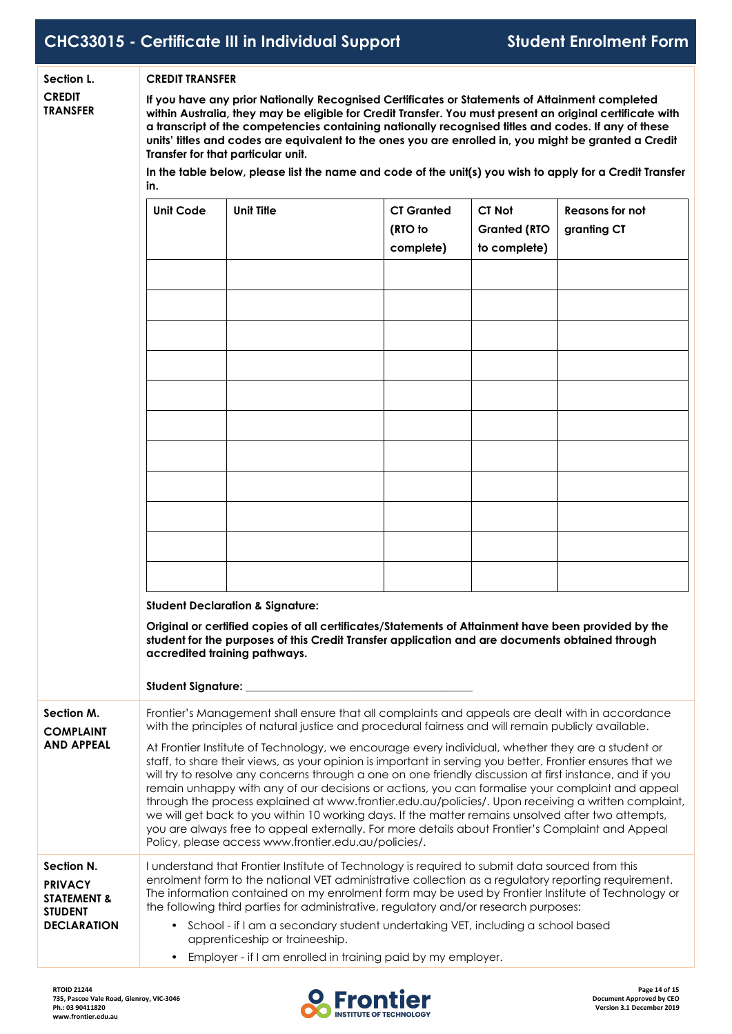**CREDIT**

#### **Section L. CREDIT TRANSFER**

 $\,$  TRANSFER  $\,$  within Australia, they may be eligible for Credit Transfer. You must present an original certificate with **If you have any prior Nationally Recognised Certificates or Statements of Attainment completed a transcript of the competencies containing nationally recognised titles and codes. If any of these** units' titles and codes are equivalent to the ones you are enrolled in, you might be granted a Credit **Transfer for that particular unit.**

In the table below, please list the name and code of the unit(s) you wish to apply for a Credit Transfer

|                                                                                                | in.                                                                                                                                                                                                                                                                                                                                                                                                                                                                                                                                                                                                                                                                                                                                                                                                                                                                                                                                                                                                             |                                                                                                                                                                                                                                                                                        |                                           |                                               |                                       |
|------------------------------------------------------------------------------------------------|-----------------------------------------------------------------------------------------------------------------------------------------------------------------------------------------------------------------------------------------------------------------------------------------------------------------------------------------------------------------------------------------------------------------------------------------------------------------------------------------------------------------------------------------------------------------------------------------------------------------------------------------------------------------------------------------------------------------------------------------------------------------------------------------------------------------------------------------------------------------------------------------------------------------------------------------------------------------------------------------------------------------|----------------------------------------------------------------------------------------------------------------------------------------------------------------------------------------------------------------------------------------------------------------------------------------|-------------------------------------------|-----------------------------------------------|---------------------------------------|
|                                                                                                | <b>Unit Code</b>                                                                                                                                                                                                                                                                                                                                                                                                                                                                                                                                                                                                                                                                                                                                                                                                                                                                                                                                                                                                | <b>Unit Title</b>                                                                                                                                                                                                                                                                      | <b>CT Granted</b><br>(RTO to<br>complete) | CT Not<br><b>Granted (RTO</b><br>to complete) | <b>Reasons for not</b><br>granting CT |
|                                                                                                |                                                                                                                                                                                                                                                                                                                                                                                                                                                                                                                                                                                                                                                                                                                                                                                                                                                                                                                                                                                                                 |                                                                                                                                                                                                                                                                                        |                                           |                                               |                                       |
|                                                                                                |                                                                                                                                                                                                                                                                                                                                                                                                                                                                                                                                                                                                                                                                                                                                                                                                                                                                                                                                                                                                                 |                                                                                                                                                                                                                                                                                        |                                           |                                               |                                       |
|                                                                                                |                                                                                                                                                                                                                                                                                                                                                                                                                                                                                                                                                                                                                                                                                                                                                                                                                                                                                                                                                                                                                 |                                                                                                                                                                                                                                                                                        |                                           |                                               |                                       |
|                                                                                                |                                                                                                                                                                                                                                                                                                                                                                                                                                                                                                                                                                                                                                                                                                                                                                                                                                                                                                                                                                                                                 |                                                                                                                                                                                                                                                                                        |                                           |                                               |                                       |
|                                                                                                |                                                                                                                                                                                                                                                                                                                                                                                                                                                                                                                                                                                                                                                                                                                                                                                                                                                                                                                                                                                                                 | <b>Student Declaration &amp; Signature:</b><br>Original or certified copies of all certificates/Statements of Attainment have been provided by the<br>student for the purposes of this Credit Transfer application and are documents obtained through<br>accredited training pathways. |                                           |                                               |                                       |
|                                                                                                | Student Signature: _                                                                                                                                                                                                                                                                                                                                                                                                                                                                                                                                                                                                                                                                                                                                                                                                                                                                                                                                                                                            |                                                                                                                                                                                                                                                                                        |                                           |                                               |                                       |
| Section M.<br><b>COMPLAINT</b><br><b>AND APPEAL</b>                                            | Frontier's Management shall ensure that all complaints and appeals are dealt with in accordance<br>with the principles of natural justice and procedural fairness and will remain publicly available.<br>At Frontier Institute of Technology, we encourage every individual, whether they are a student or<br>staff, to share their views, as your opinion is important in serving you better. Frontier ensures that we<br>will try to resolve any concerns through a one on one friendly discussion at first instance, and if you<br>remain unhappy with any of our decisions or actions, you can formalise your complaint and appeal<br>through the process explained at www.frontier.edu.au/policies/. Upon receiving a written complaint,<br>we will get back to you within 10 working days. If the matter remains unsolved after two attempts,<br>you are always free to appeal externally. For more details about Frontier's Complaint and Appeal<br>Policy, please access www.frontier.edu.au/policies/. |                                                                                                                                                                                                                                                                                        |                                           |                                               |                                       |
| Section N.<br><b>PRIVACY</b><br><b>STATEMENT &amp;</b><br><b>STUDENT</b><br><b>DECLARATION</b> | I understand that Frontier Institute of Technology is required to submit data sourced from this<br>enrolment form to the national VET administrative collection as a regulatory reporting requirement.<br>The information contained on my enrolment form may be used by Frontier Institute of Technology or<br>the following third parties for administrative, regulatory and/or research purposes:<br>• School - if I am a secondary student undertaking VET, including a school based<br>apprenticeship or traineeship.<br>• Employer - if I am enrolled in training paid by my employer.                                                                                                                                                                                                                                                                                                                                                                                                                     |                                                                                                                                                                                                                                                                                        |                                           |                                               |                                       |